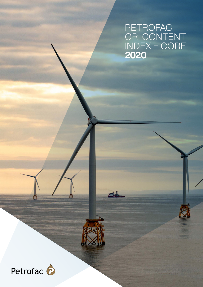PETROFAC<br>GRI CONTENT<br>INDEX – CORE<br>**2020** 

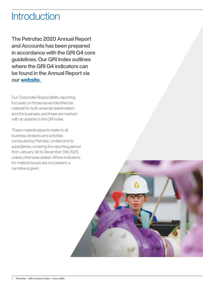# **Introduction**

The Petrofac 2020 Annual Report and Accounts has been prepared in accordance with the GRI G4 core guidelines. Our GRI Index outlines where the GRI G4 indicators can be found in the Annual Report via our [website.](http://petrofac.com) 

Our Corporate Responsibility reporting focusses on those issues identified as material for both external stakeholders and the business, and these are marked with an asterisk in the GRI index.

These material aspects relate to all business divisions and activities conducted by Petrofac Limited and its subsidiaries, covering the reporting period from January 1st to December 31st 2020, unless otherwise stated. Where indicators for material issues are not present, a narrative is given.

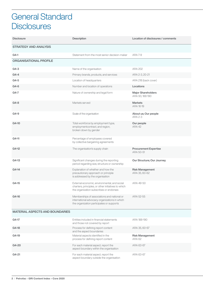#### General Standard **Disclosures**

| <b>Disclosure</b>                      | Description                                                                                                                                    | Location of disclosures / comments           |
|----------------------------------------|------------------------------------------------------------------------------------------------------------------------------------------------|----------------------------------------------|
| <b>STRATEGY AND ANALYSIS</b>           |                                                                                                                                                |                                              |
| G4-1                                   | Statement from the most senior decision-maker                                                                                                  | <b>ARA 7-9</b>                               |
| <b>ORGANISATIONAL PROFILE</b>          |                                                                                                                                                |                                              |
| $G4-3$                                 | Name of the organisation                                                                                                                       | <b>ARA 202</b>                               |
| $G4-4$                                 | Primary brands, products, and services                                                                                                         | ARA 2-3, 20-21                               |
| G4-5                                   | Location of headquarters                                                                                                                       | ARA 218 (back cover)                         |
| G4-6                                   | Number and location of operations                                                                                                              | Locations                                    |
| G4-7                                   | Nature of ownership and legal form                                                                                                             | <b>Major Shareholders</b><br>ARA 93, 188-190 |
| $G4-8$                                 | Markets served                                                                                                                                 | <b>Markets</b><br>ARA 16-19                  |
| $G4-9$                                 | Scale of the organisation                                                                                                                      | About us; Our people<br>ARA 2-3              |
| G4-10                                  | Total workforce by employment type,<br>employmentcontract, and region,<br>broken down by gender                                                | Our people<br><b>ARA 42</b>                  |
| $G4-11$                                | Percentage of employees covered<br>by collective bargaining agreements                                                                         |                                              |
| $G4-12$                                | The organisation's supply chain                                                                                                                | <b>Procurement Expertise</b><br>ARA 50-51    |
| $G4-13$                                | Significant changes during the reporting<br>period regarding size, structure or ownership                                                      | Our Structure; Our Journey                   |
| $G4-14$                                | Explanation of whether and how the<br>precautionary approach or principle<br>is addressed by the organisation                                  | <b>Risk Management</b><br>ARA 35, 60-62      |
| G4-15                                  | External economic, environmental, and social<br>charters, principles, or other initiatives to which<br>the organization subscribes or endorses | ARA 49-50                                    |
| G4-16                                  | Memberships of associations and national or<br>international advocacy organizations in which<br>the organization participates or supports      | ARA 52-55                                    |
| <b>MATERIAL ASPECTS AND BOUNDARIES</b> |                                                                                                                                                |                                              |
| G4-17                                  | Entities included in financial statements<br>and those not covered by report                                                                   | ARA 188-190                                  |
| G4-18                                  | Process for defining report content<br>and the aspect boundaries                                                                               | ARA 35, 60-67                                |
| G4-19                                  | Material aspects identified in the<br>process for defining report content                                                                      | <b>Risk Management</b><br><b>ARA 62</b>      |
| G4-20                                  | For each material aspect, report the<br>aspect boundary within the organisation                                                                | ARA 63-67                                    |
| G4-21                                  | For each material aspect, report the<br>aspect boundary outside the organisation                                                               | ARA 63-67                                    |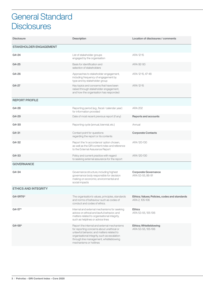# General Standard **Disclosures**

| <b>Disclosure</b>             | Description                                                                                                                                                                                                                                                | Location of disclosures / comments                              |
|-------------------------------|------------------------------------------------------------------------------------------------------------------------------------------------------------------------------------------------------------------------------------------------------------|-----------------------------------------------------------------|
| <b>STAKEHOLDER ENGAGEMENT</b> |                                                                                                                                                                                                                                                            |                                                                 |
| G4-24                         | List of stakeholder groups<br>engaged by the organisation                                                                                                                                                                                                  | ARA 12-15                                                       |
| G4-25                         | Basis for identification and<br>selection of stakeholders                                                                                                                                                                                                  | ARA 92-93                                                       |
| G4-26                         | Approaches to stakeholder engagement,<br>including frequency of engagement by<br>type and by stakeholder group                                                                                                                                             | ARA 12-15, 47-48                                                |
| G4-27                         | Key topics and concerns that have been<br>raised through stakeholder engagement,<br>and how the organisation has responded                                                                                                                                 | ARA 12-15                                                       |
| <b>REPORT PROFILE</b>         |                                                                                                                                                                                                                                                            |                                                                 |
| G4-28                         | Reporting period (e.g., fiscal / calendar year)<br>for information provided                                                                                                                                                                                | <b>ARA 202</b>                                                  |
| G4-29                         | Date of most recent previous report (if any)                                                                                                                                                                                                               | <b>Reports and accounts</b>                                     |
| G4-30                         | Reporting cycle (annual, biennial, etc.)                                                                                                                                                                                                                   | Annual                                                          |
| $G4 - 31$                     | Contact point for questions<br>regarding the report or its contents                                                                                                                                                                                        | <b>Corporate Contacts</b>                                       |
| G4-32                         | Report the 'in accordance' option chosen,<br>as well as the GRI content index and reference<br>to the External Assurance Report                                                                                                                            | ARA 120-130                                                     |
| G4-33                         | Policy and current practice with regard<br>to seeking external assurance for the report                                                                                                                                                                    | ARA 120-130                                                     |
| <b>GOVERNANCE</b>             |                                                                                                                                                                                                                                                            |                                                                 |
| G4-34                         | Governance structure, including highest<br>governance body responsible for decision<br>making on economic, environmental and<br>social impacts                                                                                                             | <b>Corporate Governance</b><br>ARA 53-55, 86-91                 |
| <b>ETHICS AND INTEGRITY</b>   |                                                                                                                                                                                                                                                            |                                                                 |
| G4-5RT6*                      | The organisation's values, principles, standards<br>and norms of behaviour such as codes of<br>conduct and codes of ethics.                                                                                                                                | Ethics; Values; Policies, codes and standards<br>ARA 2, 105-106 |
| $G4 - 57*$                    | Internal and external mechanisms for seeking<br>advice on ethical and lawful behavior, and<br>matters related to organisational integrity,<br>such as helplines or advice lines                                                                            | <b>Ethics</b><br>ARA 53-55, 105-106                             |
| $G4 - 58*$                    | Report the internal and external mechanisms<br>for reporting concerns about unethical or<br>unlawful behavior, and matters related to<br>organisational integrity, such as escalation<br>through line management, whistleblowing<br>mechanisms or hotlines | <b>Ethics; Whistleblowing</b><br>ARA 53-55, 105-106             |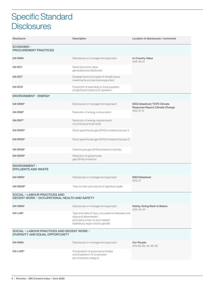# Specific Standard **Disclosures**

| <b>Disclosure</b>                                                                           | <b>Description</b>                                                                                                                                      | Location of disclosures / comments                                                 |  |  |
|---------------------------------------------------------------------------------------------|---------------------------------------------------------------------------------------------------------------------------------------------------------|------------------------------------------------------------------------------------|--|--|
| <b>ECONOMIC-</b><br><b>PROCUREMENT PRACTICES</b>                                            |                                                                                                                                                         |                                                                                    |  |  |
| G4-DMA                                                                                      | Disclosures on management approach                                                                                                                      | <b>In-Country Value</b><br>ARA 49-51                                               |  |  |
| G4-EC1                                                                                      | Direct economic value<br>generated and distributed                                                                                                      |                                                                                    |  |  |
| <b>G4-EC7</b>                                                                               | Development and impact of infrastructure<br>investments and services supported                                                                          |                                                                                    |  |  |
| G4-EC9                                                                                      | Proportion of spending on local suppliers<br>at significant locations of operation                                                                      |                                                                                    |  |  |
| <b>ENVIRONMENT - ENERGY</b>                                                                 |                                                                                                                                                         |                                                                                    |  |  |
| G4-DMA*                                                                                     | Disclosures on management approach                                                                                                                      | <b>ESG Datasheet: TCFD Climate</b><br>Response Report; Climate Change<br>ARA 37-41 |  |  |
| G4-EN6*                                                                                     | Reduction of energy consumption                                                                                                                         |                                                                                    |  |  |
| G4-EN7*                                                                                     | Reduction of energy requirements<br>of products and services                                                                                            |                                                                                    |  |  |
| G4-EN15*                                                                                    | Direct greenhouse gas (GHG) emissions (scope 1)                                                                                                         |                                                                                    |  |  |
| G4-EN16*                                                                                    | Direct greenhouse gas (GHG) emissions (scope 2)                                                                                                         |                                                                                    |  |  |
| G4-EN18*                                                                                    | Greenhouse gas (GHG) emissions intensity                                                                                                                |                                                                                    |  |  |
| G4-EN19*                                                                                    | Reduction of greenhouse<br>gas (GHG) emissions                                                                                                          |                                                                                    |  |  |
| <b>ENVIRONMENT-</b><br><b>EFFLUENTS AND WASTE</b>                                           |                                                                                                                                                         |                                                                                    |  |  |
| G4-DMA*                                                                                     | Disclosures on management approach                                                                                                                      | <b>ESG Datasheet</b><br><b>ARA 37</b>                                              |  |  |
| G4-EN24*                                                                                    | Total number and volume of significant spills                                                                                                           |                                                                                    |  |  |
| <b>SOCIAL - LABOUR PRACTICES AND</b><br><b>DECENT WORK - OCCUPATIONAL HEALTH AND SAFETY</b> |                                                                                                                                                         |                                                                                    |  |  |
| G4-DMA*                                                                                     | Disclosures on management approach                                                                                                                      | Safety; Going Back to Basics<br>ARA 42-44                                          |  |  |
| $G4-LAG*$                                                                                   | Type and rates of injury, occupational diseases, lost<br>days and absenteeism<br>and total number of work related<br>fatalities by region and by gender |                                                                                    |  |  |
| SOCIAL - LABOUR PRACTICES AND DECENT WORK -<br><b>DIVERSITY AND EQUAL OPPORTUNITY</b>       |                                                                                                                                                         |                                                                                    |  |  |
| G4-DMA                                                                                      | Disclosures on management approach                                                                                                                      | <b>Our People</b><br>ARA 82-85, 42, 46-48                                          |  |  |
| G4-LA12*                                                                                    | Composition of governance bodies<br>and breakdown of employees<br>per employee category                                                                 |                                                                                    |  |  |